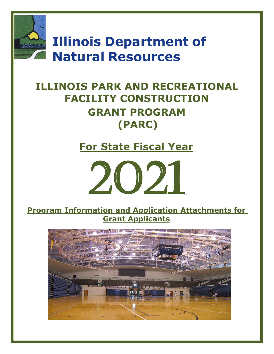

**Illinois Department of Natural Resources**

# **ILLINOIS PARK AND RECREATIONAL FACILITY CONSTRUCTION GRANT PROGRAM (PARC)**

**For State Fiscal Year**



**Program Information and Application Attachments for Grant Applicants**

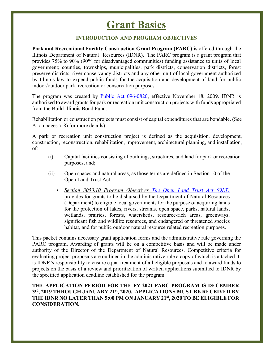# **Grant Basics**

### **INTRODUCTION AND PROGRAM OBJECTIVES**

**Park and Recreational Facility Construction Grant Program (PARC)** is offered through the Illinois Department of Natural Resources (IDNR). The PARC program is a grant program that provides 75% to 90% (90% for disadvantaged communities) funding assistance to units of local government; counties, townships, municipalities, park districts, conservation districts, forest preserve districts, river conservancy districts and any other unit of local government authorized by Illinois law to expend public funds for the acquisition and development of land for public indoor/outdoor park, recreation or conservation purposes.

The program was created by [Public Act 096-0820,](http://www.ilga.gov/legislation/publicacts/96/096-0820.htm) effective November 18, 2009. IDNR is authorized to award grants for park or recreation unit construction projects with funds appropriated from the Build Illinois Bond Fund.

Rehabilitation or construction projects must consist of capital expenditures that are bondable. (See A. on pages 7-8) for more details)

A park or recreation unit construction project is defined as the acquisition, development, construction, reconstruction, rehabilitation, improvement, architectural planning, and installation, of:

- (i) Capital facilities consisting of buildings, structures, and land for park or recreation purposes, and;
- (ii) Open spaces and natural areas, as those terms are defined in Section 10 of the Open Land Trust Act.
	- *Section 3050.10 Program Objectives [The Open Land Trust Act \(OLT\)](http://www.ilga.gov/legislation/ilcs/ilcs3.asp?ActID=1740&ChapterID=44)* provides for grants to be disbursed by the Department of Natural Resources (Department) to eligible local governments for the purpose of acquiring lands for the protection of lakes, rivers, streams, open space, parks, natural lands, wetlands, prairies, forests, watersheds, resource-rich areas, greenways, significant fish and wildlife resources, and endangered or threatened species habitat, and for public outdoor natural resource related recreation purposes.

This packet contains necessary grant application forms and the administrative rule governing the PARC program. Awarding of grants will be on a competitive basis and will be made under authority of the Director of the Department of Natural Resources. Competitive criteria for evaluating project proposals are outlined in the administrative rule a copy of which is attached. It is IDNR's responsibility to ensure equal treatment of all eligible proposals and to award funds to projects on the basis of a review and prioritization of written applications submitted to IDNR by the specified application deadline established for the program.

#### **THE APPLICATION PERIOD FOR THE FY 2021 PARC PROGRAM IS DECEMBER 3rd, 2019 THROUGH JANUARY 21st, 2020. APPLICATIONS MUST BE RECEIVED BY THE IDNR NO LATER THAN 5:00 PM ON JANUARY 21st, 2020 TO BE ELIGIBLE FOR CONSIDERATION.**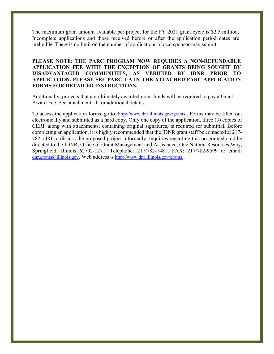The maximum grant amount available per project for the FY 2021 grant cycle is \$2.5 million. Incomplete applications and those received before or after the application period dates are ineligible. There is no limit on the number of applications a local sponsor may submit.

#### **PLEASE NOTE: THE PARC PROGRAM NOW REQUIRES A NON-REFUNDABLE APPLICATION FEE WITH THE EXCEPTION OF GRANTS BEING SOUGHT BY DISADVANTAGED COMMUNITIES, AS VERIFIED BY IDNR PRIOR TO APPLICATION. PLEASE SEE PARC 1-A IN THE ATTACHED PARC APPLICATION FORMS FOR DETAILED INSTRUCTIONS.**

Additionally, projects that are ultimately awarded grant funds will be required to pay a Grant Award Fee. See attachment 11 for additional details.

To access the application forms, go to:<http://www.dnr.illinois.gov/grants> . Forms may be filled out electronically and submitted as a hard copy. Only one copy of the application, three (3) copies of CERP along with attachments. containing original signatures, is required for submittal. Before completing an application, it is highly recommended that the IDNR grant staff be contacted at 217- 782-7481 to discuss the proposed project informally. Inquiries regarding this program should be directed to the IDNR, Office of Grant Management and Assistance, One Natural Resources Way, Springfield, Illinois 62702-1271. Telephone: 217/782-7481, FAX: 217/782-9599 or email: [dnr.grants@illinois.gov.](mailto:dnr.grants@illinois.gov) Web address is [http://www.dnr.illinois.gov/grants.](http://www.dnr.illinois.gov/grants)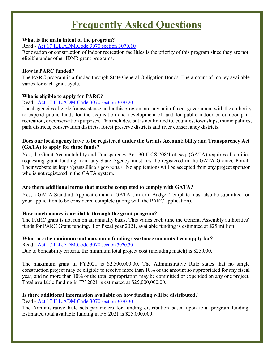# **Frequently Asked Questions**

#### **What is the main intent of the program?**

#### Read - [Act 17 ILL.ADM.Code 3070](https://www.dnr.illinois.gov/adrules/documents/17-3070.pdf) section 3070.10

Renovation or construction of indoor recreation facilities is the priority of this program since they are not eligible under other IDNR grant programs.

### **How is PARC funded?**

The PARC program is a funded through State General Obligation Bonds. The amount of money available varies for each grant cycle.

# **Who is eligible to apply for PARC?**

# Read - [Act 17 ILL.ADM.Code 3070](https://www.dnr.illinois.gov/adrules/documents/17-3070.pdf) section 3070.20

Local agencies eligible for assistance under this program are any unit of local government with the authority to expend public funds for the acquisition and development of land for public indoor or outdoor park, recreation, or conservation purposes. This includes, but is not limited to, counties, townships, municipalities, park districts, conservation districts, forest preserve districts and river conservancy districts.

### **Does our local agency have to be registered under the Grants Accountability and Transparency Act (GATA) to apply for these funds?**

Yes, the Grant Accountability and Transparency Act, 30 ILCS 708/1 et. seq. (GATA) requires all entities requesting grant funding from any State Agency must first be registered in the GATA Grantee Portal. Their website is: [https://grants.illinois.gov/portal/.](https://grants.illinois.gov/portal/) No applications will be accepted from any project sponsor who is not registered in the GATA system.

# **Are there additional forms that must be completed to comply with GATA?**

Yes, a GATA Standard Application and a GATA Uniform Budget Template must also be submitted for your application to be considered complete (along with the PARC application).

# **How much money is available through the grant program?**

The PARC grant is not run on an annually basis. This varies each time the General Assembly authorities' funds for PARC Grant funding. For fiscal year 2021, available funding is estimated at \$25 million.

# **What are the minimum and maximum funding assistance amounts I can apply for?**

Read **-** [Act 17 ILL.ADM.Code 3070](https://www.dnr.illinois.gov/adrules/documents/17-3070.pdf) section 3070.30

Due to bondability criteria, the minimum total project cost (including match) is \$25,000.

The maximum grant in FY2021 is \$2,500,000.00. The Administrative Rule states that no single construction project may be eligible to receive more than 10% of the amount so appropriated for any fiscal year, and no more than 10% of the total appropriation may be committed or expended on any one project. Total available funding in FY 2021 is estimated at \$25,000,000.00.

# **Is there additional information available on how funding will be distributed?**

Read **-** [Act 17 ILL.ADM.Code 3070](https://www.dnr.illinois.gov/adrules/documents/17-3070.pdf) section 3070.30

The Administrative Rule sets parameters for funding distribution based upon total program funding. Estimated total available funding in FY 2021 is \$25,000,000.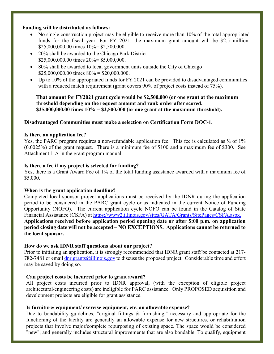#### **Funding will be distributed as follows:**

- No single construction project may be eligible to receive more than 10% of the total appropriated funds for the fiscal year. For FY 2021, the maximum grant amount will be \$2.5 million. \$25,000,000.00 times 10%= \$2,500,000.
- 20% shall be awarded to the Chicago Park District \$25,000,000.00 times 20%= \$5,000,000.
- 80% shall be awarded to local government units outside the City of Chicago  $$25,000,000.00$  times  $80\% = $20,000.000$ .
- Up to 10% of the appropriated funds for FY 2021 can be provided to disadvantaged communities with a reduced match requirement (grant covers 90% of project costs instead of 75%).

**That amount for FY2021 grant cycle would be \$2,500,000 (or one grant at the maximum threshold depending on the request amount and rank order after scored. \$25,000,000.00 times 10% = \$2,500,000 (or one grant at the maximum threshold).** 

#### **Disadvantaged Communities must make a selection on Certification Form DOC-1.**

#### **Is there an application fee?**

Yes, the PARC program requires a non-refundable application fee. This fee is calculated as  $\frac{1}{4}$  of  $1\%$ (0.0025%) of the grant request. There is a minimum fee of \$100 and a maximum fee of \$300. See Attachment 1-A in the grant program manual.

#### **Is there a fee if my project is selected for funding?**

Yes, there is a Grant Award Fee of 1% of the total funding assistance awarded with a maximum fee of \$5,000.

#### **When is the grant application deadline?**

Completed local sponsor project applications must be received by the IDNR during the application period to be considered in the PARC grant cycle or as indicated in the current Notice of Funding Opportunity (NOFO). The current application cycle NOFO can be found in the Catalog of State Financial Assistance (CSFA) at [https://www2.illinois.gov/sites/GATA/Grants/SitePages/CSFA.aspx.](https://www2.illinois.gov/sites/GATA/Grants/SitePages/CSFA.aspx) **Applications received before application period opening date or after 5:00 p.m. on application period closing date will not be accepted – NO EXCEPTIONS. Applications cannot be returned to the local sponsor.** 

#### **How do we ask IDNR staff questions about our project?**

Prior to initiating an application, it is strongly recommended that IDNR grant staff be contacted at 217- 782-7481 or email [dnr.grants@illinois.gov](mailto:dnr.grants@illinois.gov) to discuss the proposed project. Considerable time and effort may be saved by doing so.

#### **Can project costs be incurred prior to grant award?**

All project costs incurred prior to IDNR approval, (with the exception of eligible project architectural/engineering costs) are ineligible for PARC assistance. Only PROPOSED acquisition and development projects are eligible for grant assistance.

#### **Is furniture/ equipment/ exercise equipment, etc. an allowable expense?**

Due to bondability guidelines, "original fittings & furnishing," necessary and appropriate for the functioning of the facility are generally an allowable expense for new structures, or rehabilitation projects that involve major/complete repurposing of existing space. The space would be considered "new", and generally includes structural improvements that are also bondable. To qualify, equipment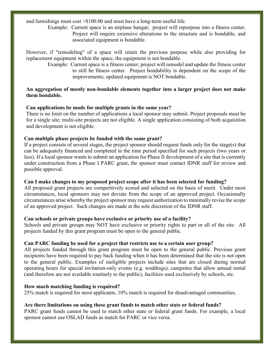and furnishings must cost >\$100.00 and must have a long-term useful life.

 Example: Current space is an airplane hangar; project will repurpose into a fitness center. Project will require extensive alterations to the structure and is bondable, and associated equipment is bondable.

However, if "remodeling" of a space will retain the previous purpose while also providing for replacement equipment within the space, the equipment is not bondable.

 Example: Current space is a fitness center; project will remodel and update the fitness center to still be fitness center. Project bondability is dependent on the scope of the improvements; updated equipment is NOT bondable.

#### **An aggregation of mostly non-bondable elements together into a larger project does not make them bondable.**

#### **Can applications be made for multiple grants in the same year?**

There is no limit on the number of applications a local sponsor may submit. Project proposals must be for a single site; multi-site projects are not eligible. A single application consisting of both acquisition and development is not eligible.

#### **Can multiple phase projects be funded with the same grant?**

If a project consists of several stages, the project sponsor should request funds only for the stage(s) that can be adequately financed and completed in the time period specified for such projects (two years or less). If a local sponsor wants to submit an application for Phase II development of a site that is currently under construction from a Phase I PARC grant, the sponsor must contact IDNR staff for review and possible approval.

# **Can I make changes to my proposed project scope after it has been selected for funding?**

All proposed grant projects are competitively scored and selected on the basis of merit. Under most circumstances, local sponsors may not deviate from the scope of an approved project. Occasionally circumstances arise whereby the project sponsor may request authorization to minimally revise the scope of an approved project. Such changes are made at the sole discretion of the IDNR staff.

#### **Can schools or private groups have exclusive or priority use of a facility?**

Schools and private groups may NOT have exclusive or priority rights to part or all of the site. All projects funded by this grant program must be open to the general public.

#### **Can PARC funding be used for a project that restricts use to a certain user group?**

All projects funded through this grant program must be open to the general public. Previous grant recipients have been required to pay back funding when it has been determined that the site is not open to the general public. Examples of ineligible projects include sites that are closed during normal operating hours for special invitation-only events (e.g. weddings), campsites that allow annual rental (and therefore are not available routinely to the public), facilities used exclusively by schools, etc.

#### **How much matching funding is required?**

25% match is required for most applicants, 10% match is required for disadvantaged communities.

#### **Are there limitations on using these grant funds to match other state or federal funds?**

PARC grant funds cannot be used to match other state or federal grant funds. For example, a local sponsor cannot use OSLAD funds as match for PARC or vice versa.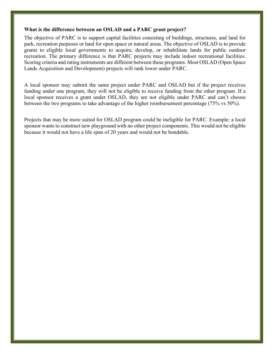#### **What is the difference between an OSLAD and a PARC grant project?**

The objective of PARC is to support capital facilities consisting of buildings, structures, and land for park, recreation purposes or land for open space or natural areas. The objective of OSLAD is to provide grants to eligible local governments to acquire, develop, or rehabilitate lands for public outdoor recreation. The primary difference is that PARC projects may include indoor recreational facilities. Scoring criteria and rating instruments are different between these programs. Most OSLAD (Open Space Lands Acquisition and Development) projects will rank lower under PARC.

A local sponsor may submit the same project under PARC and OSLAD but if the project receives funding under one program, they will not be eligible to receive funding from the other program. If a local sponsor receives a grant under OSLAD, they are not eligible under PARC and can't choose between the two programs to take advantage of the higher reimbursement percentage (75% vs 50%).

Projects that may be more suited for OSLAD program could be ineligible for PARC. Example: a local sponsor wants to construct new playground with no other project components. This would not be eligible because it would not have a life span of 20 years and would not be bondable.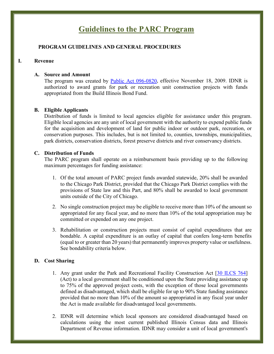# **Guidelines to the PARC Program**

#### **PROGRAM GUIDELINES AND GENERAL PROCEDURES**

#### **I. Revenue**

#### **A. Source and Amount**

The program was created by [Public Act 096-0820,](http://www.ilga.gov/legislation/publicacts/96/096-0820.htm) effective November 18, 2009. IDNR is authorized to award grants for park or recreation unit construction projects with funds appropriated from the Build Illinois Bond Fund.

#### **B. Eligible Applicants**

Distribution of funds is limited to local agencies eligible for assistance under this program. Eligible local agencies are any unit of local government with the authority to expend public funds for the acquisition and development of land for public indoor or outdoor park, recreation, or conservation purposes. This includes, but is not limited to, counties, townships, municipalities, park districts, conservation districts, forest preserve districts and river conservancy districts.

#### **C. Distribution of Funds**

The PARC program shall operate on a reimbursement basis providing up to the following maximum percentages for funding assistance:

- 1. Of the total amount of PARC project funds awarded statewide, 20% shall be awarded to the Chicago Park District, provided that the Chicago Park District complies with the provisions of State law and this Part, and 80% shall be awarded to local government units outside of the City of Chicago.
- 2. No single construction project may be eligible to receive more than 10% of the amount so appropriated for any fiscal year, and no more than 10% of the total appropriation may be committed or expended on any one project.
- 3. Rehabilitation or construction projects must consist of capital expenditures that are bondable. A capital expenditure is an outlay of capital that confers long-term benefits (equal to or greater than 20 years) that permanently improves property value or usefulness. See bondability criteria below.

#### **D. Cost Sharing**

- 1. Any grant under the Park and Recreational Facility Construction Act [\[30 ILCS 764\]](http://www.ilga.gov/legislation/ilcs/ilcs3.asp?ActID=3168&ChapterID=7) (Act) to a local government shall be conditioned upon the State providing assistance up to 75% of the approved project costs, with the exception of those local governments defined as disadvantaged, which shall be eligible for up to 90% State funding assistance provided that no more than 10% of the amount so appropriated in any fiscal year under the Act is made available for disadvantaged local governments.
- 2. IDNR will determine which local sponsors are considered disadvantaged based on calculations using the most current published Illinois Census data and Illinois Department of Revenue information. IDNR may consider a unit of local government's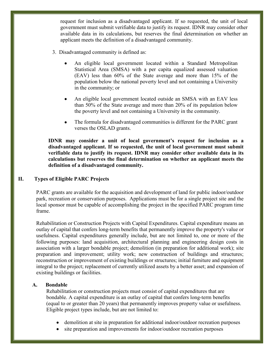request for inclusion as a disadvantaged applicant. If so requested, the unit of local government must submit verifiable data to justify its request. IDNR may consider other available data in its calculations, but reserves the final determination on whether an applicant meets the definition of a disadvantaged community.

- 3. Disadvantaged community is defined as:
	- An eligible local government located within a Standard Metropolitan Statistical Area (SMSA) with a per capita equalized assessed valuation (EAV) less than 60% of the State average and more than 15% of the population below the national poverty level and not containing a University in the community; or
	- An eligible local government located outside an SMSA with an EAV less than 50% of the State average and more than 20% of its population below the poverty level and not containing a University in the community.
	- The formula for disadvantaged communities is different for the PARC grant verses the OSLAD grants.

**IDNR may consider a unit of local government's request for inclusion as a disadvantaged applicant. If so requested, the unit of local government must submit verifiable data to justify its request. IDNR may consider other available data in its calculations but reserves the final determination on whether an applicant meets the definition of a disadvantaged community.**

### **II. Types of Eligible PARC Projects**

PARC grants are available for the acquisition and development of land for public indoor/outdoor park, recreation or conservation purposes. Applications must be for a single project site and the local sponsor must be capable of accomplishing the project in the specified PARC program time frame.

Rehabilitation or Construction Projects with Capital Expenditures. Capital expenditure means an outlay of capital that confers long-term benefits that permanently improve the property's value or usefulness. Capital expenditures generally include, but are not limited to, one or more of the following purposes: land acquisition, architectural planning and engineering design costs in association with a larger bondable project; demolition (in preparation for additional work); site preparation and improvement; utility work; new construction of buildings and structures; reconstruction or improvement of existing buildings or structures; initial furniture and equipment integral to the project; replacement of currently utilized assets by a better asset; and expansion of existing buildings or facilities.

#### **A. Bondable**

Rehabilitation or construction projects must consist of capital expenditures that are bondable. A capital expenditure is an outlay of capital that confers long-term benefits (equal to or greater than 20 years) that permanently improves property value or usefulness. Eligible project types include, but are not limited to:

- demolition at site in preparation for additional indoor/outdoor recreation purposes
- site preparation and improvements for indoor/outdoor recreation purposes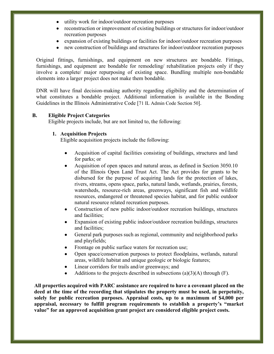- utility work for indoor/outdoor recreation purposes
- reconstruction or improvement of existing buildings or structures for indoor/outdoor recreation purposes
- expansion of existing buildings or facilities for indoor/outdoor recreation purposes
- new construction of buildings and structures for indoor/outdoor recreation purposes

Original fittings, furnishings, and equipment on new structures are bondable. Fittings, furnishings, and equipment are bondable for remodeling/ rehabilitation projects only if they involve a complete/ major repurposing of existing space. Bundling multiple non-bondable elements into a larger project does not make them bondable.

DNR will have final decision-making authority regarding eligibility and the determination of what constitutes a bondable project. Additional information is available in the Bonding Guidelines in the Illinois Administrative Code [\[71 IL Admin Code Section 50\]](http://www.ilga.gov/commission/jcar/admincode/071/07100050sections.html).

#### **B. Eligible Project Categories**

Eligible projects include, but are not limited to, the following:

#### **1. Acquisition Projects**

Eligible acquisition projects include the following:

- Acquisition of capital facilities consisting of buildings, structures and land for parks; or
- Acquisition of open spaces and natural areas, as defined in Section 3050.10 of the Illinois Open Land Trust Act. The Act provides for grants to be disbursed for the purpose of acquiring lands for the protection of lakes, rivers, streams, opens space, parks, natural lands, wetlands, prairies, forests, watersheds, resource-rich areas, greenways, significant fish and wildlife resources, endangered or threatened species habitat, and for public outdoor natural resource related recreation purposes.
- Construction of new public indoor/outdoor recreation buildings, structures and facilities;
- Expansion of existing public indoor/outdoor recreation buildings, structures and facilities;
- General park purposes such as regional, community and neighborhood parks and playfields;
- Frontage on public surface waters for recreation use;
- Open space/conservation purposes to protect floodplains, wetlands, natural areas, wildlife habitat and unique geologic or biologic features;
- Linear corridors for trails and/or greenways; and
- Additions to the projects described in subsections  $(a)(3)(A)$  through  $(F)$ .

**All properties acquired with PARC assistance are required to have a covenant placed on the deed at the time of the recording that stipulates the property must be used, in perpetuity, solely for public recreation purposes. Appraisal costs, up to a maximum of \$4,000 per appraisal, necessary to fulfill program requirements to establish a property's "market value" for an approved acquisition grant project are considered eligible project costs.**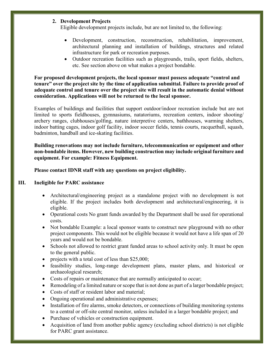### **2. Development Projects**

Eligible development projects include, but are not limited to, the following:

- Development, construction, reconstruction, rehabilitation, improvement, architectural planning and installation of buildings, structures and related infrastructure for park or recreation purposes.
- Outdoor recreation facilities such as playgrounds, trails, sport fields, shelters, etc. See section above on what makes a project bondable.

**For proposed development projects, the local sponsor must possess adequate "control and tenure" over the project site by the time of application submittal. Failure to provide proof of adequate control and tenure over the project site will result in the automatic denial without consideration. Applications will not be returned to the local sponsor.**

Examples of buildings and facilities that support outdoor/indoor recreation include but are not limited to sports fieldhouses, gymnasiums, natatoriums, recreation centers, indoor shooting/ archery ranges, clubhouses/golfing, nature interpretive centers, bathhouses, warming shelters, indoor batting cages, indoor golf facility, indoor soccer fields, tennis courts, racquetball, squash, badminton, handball and ice-skating facilities.

**Building renovations may not include furniture, telecommunication or equipment and other non-bondable items. However, new building construction may include original furniture and equipment. For example: Fitness Equipment.**

**Please contact IDNR staff with any questions on project eligibility.** 

#### **III. Ineligible for PARC assistance**

- Architectural/engineering project as a standalone project with no development is not eligible. If the project includes both development and architectural/engineering, it is eligible.
- Operational costs No grant funds awarded by the Department shall be used for operational costs.
- Not bondable Example: a local sponsor wants to construct new playground with no other project components. This would not be eligible because it would not have a life span of 20 years and would not be bondable.
- Schools not allowed to restrict grant funded areas to school activity only. It must be open to the general public.
- projects with a total cost of less than \$25,000;
- feasibility studies, long-range development plans, master plans, and historical or archaeological research;
- Costs of repairs or maintenance that are normally anticipated to occur;
- Remodeling of a limited nature or scope that is not done as part of a larger bondable project;
- Costs of staff or resident labor and material:
- Ongoing operational and administrative expenses;
- Installation of fire alarms, smoke detectors, or connections of building monitoring systems to a central or off-site central monitor, unless included in a larger bondable project; and
- Purchase of vehicles or construction equipment.
- Acquisition of land from another public agency (excluding school districts) is not eligible for PARC grant assistance.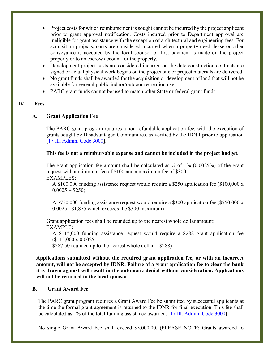- Project costs for which reimbursement is sought cannot be incurred by the project applicant prior to grant approval notification. Costs incurred prior to Department approval are ineligible for grant assistance with the exception of architectural and engineering fees. For acquisition projects, costs are considered incurred when a property deed, lease or other conveyance is accepted by the local sponsor or first payment is made on the project property or to an escrow account for the property.
- Development project costs are considered incurred on the date construction contracts are signed or actual physical work begins on the project site or project materials are delivered.
- No grant funds shall be awarded for the acquisition or development of land that will not be available for general public indoor/outdoor recreation use.
- PARC grant funds cannot be used to match other State or federal grant funds.

#### **IV. Fees**

#### **A. Grant Application Fee**

The PARC grant program requires a non-refundable application fee, with the exception of grants sought by Disadvantaged Communities, as verified by the IDNR prior to application [\[17 Ill. Admin. Code 3000\]](http://www.ilga.gov/commission/jcar/admincode/017/01703000sections.html).

#### **This fee is not a reimbursable expense and cannot be included in the project budget.**

The grant application fee amount shall be calculated as  $\frac{1}{4}$  of 1% (0.0025%) of the grant request with a minimum fee of \$100 and a maximum fee of \$300. EXAMPLES:

A \$100,000 funding assistance request would require a \$250 application fee (\$100,000 x  $0.0025 = $250$ 

A \$750,000 funding assistance request would require a \$300 application fee (\$750,000 x  $0.0025 = $1,875$  which exceeds the \$300 maximum)

Grant application fees shall be rounded up to the nearest whole dollar amount: EXAMPLE:

A \$115,000 funding assistance request would require a \$288 grant application fee  $$115,000 \times 0.0025 =$ 

\$287.50 rounded up to the nearest whole dollar  $=$  \$288)

**Applications submitted without the required grant application fee, or with an incorrect amount, will not be accepted by IDNR. Failure of a grant application fee to clear the bank it is drawn against will result in the automatic denial without consideration. Applications will not be returned to the local sponsor.**

#### **B. Grant Award Fee**

The PARC grant program requires a Grant Award Fee be submitted by successful applicants at the time the formal grant agreement is returned to the IDNR for final execution. This fee shall be calculated as 1% of the total funding assistance awarded. [\[17 Ill. Admin. Code 3000\]](http://www.ilga.gov/commission/jcar/admincode/017/01703000sections.html).

No single Grant Award Fee shall exceed \$5,000.00. (PLEASE NOTE: Grants awarded to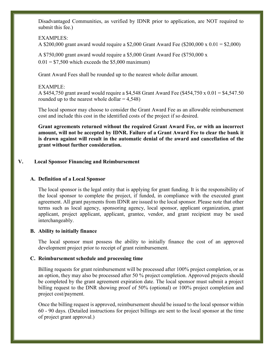Disadvantaged Communities, as verified by IDNR prior to application, are NOT required to submit this fee.)

#### EXAMPLES:

A \$200,000 grant award would require a \$2,000 Grant Award Fee (\$200,000 x 0.01 = \$2,000)

A \$750,000 grant award would require a \$5,000 Grant Award Fee (\$750,000 x  $0.01 = $7,500$  which exceeds the \$5,000 maximum)

Grant Award Fees shall be rounded up to the nearest whole dollar amount.

#### EXAMPLE:

A \$454,750 grant award would require a \$4,548 Grant Award Fee (\$454,750 x 0.01 = \$4,547.50 rounded up to the nearest whole dollar  $= 4,548$ )

The local sponsor may choose to consider the Grant Award Fee as an allowable reimbursement cost and include this cost in the identified costs of the project if so desired.

**Grant agreements returned without the required Grant Award Fee, or with an incorrect amount, will not be accepted by IDNR. Failure of a Grant Award Fee to clear the bank it is drawn against will result in the automatic denial of the award and cancellation of the grant without further consideration.**

#### **V. Local Sponsor Financing and Reimbursement**

#### **A. Definition of a Local Sponsor**

The local sponsor is the legal entity that is applying for grant funding. It is the responsibility of the local sponsor to complete the project, if funded, in compliance with the executed grant agreement. All grant payments from IDNR are issued to the local sponsor. Please note that other terms such as local agency, sponsoring agency, local sponsor, applicant organization, grant applicant, project applicant, applicant, grantee, vendor, and grant recipient may be used interchangeably.

#### **B. Ability to initially finance**

The local sponsor must possess the ability to initially finance the cost of an approved development project prior to receipt of grant reimbursement.

#### **C. Reimbursement schedule and processing time**

Billing requests for grant reimbursement will be processed after 100% project completion, or as an option, they may also be processed after 50 % project completion. Approved projects should be completed by the grant agreement expiration date. The local sponsor must submit a project billing request to the DNR showing proof of 50% (optional) or 100% project completion and project cost/payment.

Once the billing request is approved, reimbursement should be issued to the local sponsor within 60 - 90 days. (Detailed instructions for project billings are sent to the local sponsor at the time of project grant approval.)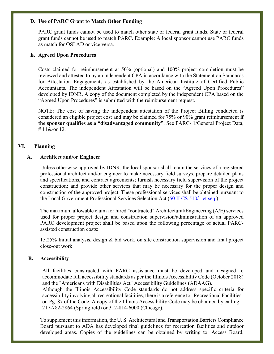#### **D. Use of PARC Grant to Match Other Funding**

PARC grant funds cannot be used to match other state or federal grant funds. State or federal grant funds cannot be used to match PARC. Example: A local sponsor cannot use PARC funds as match for OSLAD or vice versa.

#### **E. Agreed Upon Procedures**

Costs claimed for reimbursement at 50% (optional) and 100% project completion must be reviewed and attested to by an independent CPA in accordance with the Statement on Standards for Attestation Engagements as established by the American Institute of Certified Public Accountants. The independent Attestation will be based on the "Agreed Upon Procedures" developed by IDNR. A copy of the document completed by the independent CPA based on the "Agreed Upon Procedures" is submitted with the reimbursement request.

NOTE: The cost of having the independent attestation of the Project Billing conducted is considered an eligible project cost and may be claimed for 75% or 90% grant reimbursement **if the sponsor qualifies as a "disadvantaged community"**. See PARC- 1/General Project Data, #  $11\&\text{/or }12$ 

#### **VI. Planning**

#### **A. Architect and/or Engineer**

Unless otherwise approved by IDNR, the local sponsor shall retain the services of a registered professional architect and/or engineer to make necessary field surveys, prepare detailed plans and specifications, and contract agreements; furnish necessary field supervision of the project construction; and provide other services that may be necessary for the proper design and construction of the approved project. These professional services shall be obtained pursuant to the Local Government Professional Services Selection Act [\(50 ILCS 510/1 et seq.\)](http://www.ilga.gov/legislation/ilcs/ilcs3.asp?ActID=726&ChapterID=11)

The maximum allowable claim for hired "contracted" Architectural/Engineering (A/E) services used for proper project design and construction supervision/administration of an approved PARC development project shall be based upon the following percentage of actual PARCassisted construction costs:

15.25% Initial analysis, design & bid work, on site construction supervision and final project close-out work

#### **B. Accessibility**

All facilities constructed with PARC assistance must be developed and designed to accommodate full accessibility standards as per the Illinois Accessibility Code (October 2018) and the "Americans with Disabilities Act" Accessibility Guidelines (ADAAG). Although the Illinois Accessibility Code standards do not address specific criteria for accessibility involving all recreational facilities, there is a reference to "Recreational Facilities" on Pg. 87 of the Code. A copy of the Illinois Accessibility Code may be obtained by calling 217-782-2864 (Springfield) or 312-814-6000 (Chicago).

To supplement this information, the U. S. Architectural and Transportation Barriers Compliance Board pursuant to ADA has developed final guidelines for recreation facilities and outdoor developed areas. Copies of the guidelines can be obtained by writing to: Access Board,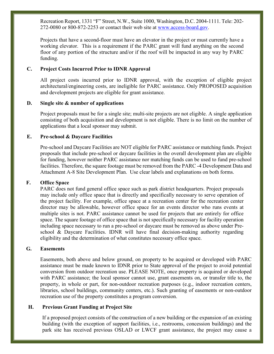Recreation Report, 1331 "F" Street, N.W., Suite 1000, Washington, D.C. 2004-1111. Tele: 202- 272-0080 or 800-872-2253 or contact their web site at [www.access-board.gov.](http://www.access-board.gov/)

Projects that have a second-floor must have an elevator in the project or must currently have a working elevator. This is a requirement if the PARC grant will fund anything on the second floor of any portion of the structure and/or if the roof will be impacted in any way by PARC funding.

#### **C. Project Costs Incurred Prior to IDNR Approval**

All project costs incurred prior to IDNR approval, with the exception of eligible project architectural/engineering costs, are ineligible for PARC assistance. Only PROPOSED acquisition and development projects are eligible for grant assistance.

#### **D. Single site & number of applications**

Project proposals must be for a single site; multi-site projects are not eligible. A single application consisting of both acquisition and development is not eligible. There is no limit on the number of applications that a local sponsor may submit.

#### **E. Pre-school & Daycare Facilities**

Pre-school and Daycare Facilities are NOT eligible for PARC assistance or matching funds. Project proposals that include pre-school or daycare facilities in the overall development plan are eligible for funding, however neither PARC assistance nor matching funds can be used to fund pre-school facilities. Therefore, the square footage must be removed from the PARC -4 Development Data and Attachment A-8 Site Development Plan. Use clear labels and explanations on both forms.

#### **F. Office Space**

PARC does not fund general office space such as park district headquarters. Project proposals may include only office space that is directly and specifically necessary to serve operation of the project facility. For example, office space at a recreation center for the recreation center director may be allowable, however office space for an events director who runs events at multiple sites is not. PARC assistance cannot be used for projects that are entirely for office space. The square footage of office space that is not specifically necessary for facility operation including space necessary to run a pre-school or daycare must be removed as above under Preschool & Daycare Facilities. IDNR will have final decision-making authority regarding eligibility and the determination of what constitutes necessary office space.

#### **G. Easements**

Easements, both above and below ground, on property to be acquired or developed with PARC assistance must be made known to IDNR prior to State approval of the project to avoid potential conversion from outdoor recreation use. PLEASE NOTE, once property is acquired or developed with PARC assistance; the local sponsor cannot use, grant easements on, or transfer title to, the property, in whole or part, for non-outdoor recreation purposes (e.g., indoor recreation centers, libraries, school buildings, community centers, etc.). Such granting of easements or non-outdoor recreation use of the property constitutes a program conversion.

#### **H. Previous Grant Funding at Project Site**

If a proposed project consists of the construction of a new building or the expansion of an existing building (with the exception of support facilities, i.e., restrooms, concession buildings) and the park site has received previous OSLAD or LWCF grant assistance, the project may cause a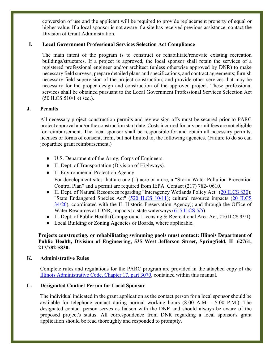conversion of use and the applicant will be required to provide replacement property of equal or higher value. If a local sponsor is not aware if a site has received previous assistance, contact the Division of Grant Administration.

#### **I. Local Government Professional Services Selection Act Compliance**

The main intent of the program is to construct or rehabilitate/renovate existing recreation buildings/structures. If a project is approved, the local sponsor shall retain the services of a registered professional engineer and/or architect (unless otherwise approved by DNR) to make necessary field surveys, prepare detailed plans and specifications, and contract agreements; furnish necessary field supervision of the project construction; and provide other services that may be necessary for the proper design and construction of the approved project. These professional services shall be obtained pursuant to the Local Government Professional Services Selection Act (50 ILCS 510/1 et seq.).

#### **J. Permits**

All necessary project construction permits and review sign-offs must be secured prior to PARC project approval and/or the construction start date. Costs incurred for any permit fees are not eligible for reimbursement. The local sponsor shall be responsible for and obtain all necessary permits, licenses or forms of consent, from, but not limited to, the following agencies. (Failure to do so can jeopardize grant reimbursement.)

- U.S. Department of the Army, Corps of Engineers.
- IL Dept. of Transportation (Division of Highways).
- IL Environmental Protection Agency For development sites that are one (1) acre or more, a "Storm Water Pollution Prevention Control Plan" and a permit are required from IEPA. Contact (217) 782- 0610.
- IL Dept. of Natural Resources regarding "Interagency Wetlands Policy Act" [\(20 ILCS 830\)](http://www.ilga.gov/legislation/ilcs/ilcs5.asp?ActID=279&ChapterID=5); "State Endangered Species Act" [\(520 ILCS 10/11\)](http://www.ilga.gov/legislation/ilcs/ilcs3.asp?ActID=1730&ChapterID=43); cultural resource impacts (20 ILCS [34/20\)](http://www.ilga.gov/legislation/ilcs/ilcs3.asp?ActID=369&ChapterID=5), coordinated with the IL Historic Preservation Agency); and through the Office of Water Resources at IDNR, impacts to state waterways [\(615 ILCS](http://www.ilga.gov/legislation/ilcs/ilcs3.asp?ActID=1781&ChapterID=47) 5/5).
- IL Dept. of Public Health (Campground Licensing & Recreational Area Act, [210 ILCS 95/1\)](http://www.ilga.gov/legislation/ilcs/ilcs3.asp?ActID=1237&ChapterID=21).
- Local Building or Zoning Agencies or Boards, where applicable.

#### **Projects constructing, or rehabilitating swimming pools must contact: Illinois Department of Public Health, Division of Engineering, 535 West Jefferson Street, Springfield, IL 62761, 217/782-5830.**

#### **K. Administrative Rules**

Complete rules and regulations for the PARC program are provided in the attached copy of the [Illinois Administrative Code, Chapter 17, part 3070,](https://www.dnr.illinois.gov/adrules/documents/17-3070.pdf) contained within this manual.

#### **L. Designated Contact Person for Local Sponsor**

The individual indicated in the grant application as the contact person for a local sponsor should be available for telephone contact during normal working hours (8:00 A.M. - 5:00 P.M.). The designated contact person serves as liaison with the DNR and should always be aware of the proposed project's status. All correspondence from DNR regarding a local sponsor's grant application should be read thoroughly and responded to promptly.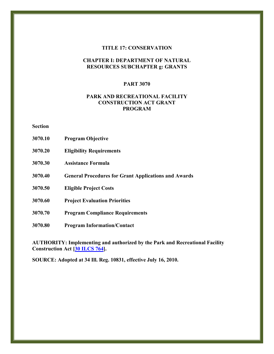#### **TITLE 17: CONSERVATION**

#### **CHAPTER I: DEPARTMENT OF NATURAL RESOURCES SUBCHAPTER g: GRANTS**

#### **PART 3070**

#### **PARK AND RECREATIONAL FACILITY CONSTRUCTION ACT GRANT PROGRAM**

**Section**

- **3070.10 Program Objective**
- **3070.20 Eligibility Requirements**
- **3070.30 Assistance Formula**
- **3070.40 General Procedures for Grant Applications and Awards**
- **3070.50 Eligible Project Costs**
- **3070.60 Project Evaluation Priorities**
- **3070.70 Program Compliance Requirements**
- **3070.80 Program Information/Contact**

**AUTHORITY: Implementing and authorized by the Park and Recreational Facility Construction Act [\[30 ILCS 764\]](http://www.ilga.gov/legislation/ilcs/ilcs4.asp?DocName=003007640HArt%2E+10&ActID=3168&ChapterID=7&SeqStart=800000&SeqEnd=1900000).**

**SOURCE: Adopted at 34 Ill. Reg. 10831, effective July 16, 2010.**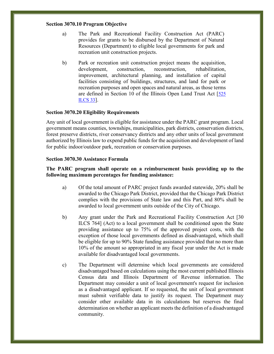#### **Section 3070.10 Program Objective**

- a) The Park and Recreational Facility Construction Act (PARC) provides for grants to be disbursed by the Department of Natural Resources (Department) to eligible local governments for park and recreation unit construction projects.
- b) Park or recreation unit construction project means the acquisition, development, construction, reconstruction, rehabilitation, improvement, architectural planning, and installation of capital facilities consisting of buildings, structures, and land for park or recreation purposes and open spaces and natural areas, as those terms are defined in Section 10 of the Illinois Open Land Trust Act [525 ILCS 33].

#### **Section 3070.20 Eligibility Requirements**

Any unit of local government is eligible for assistance under the PARC grant program. Local government means counties, townships, municipalities, park districts, conservation districts, forest preserve districts, river conservancy districts and any other units of local government authorized by Illinois law to expend public funds for the acquisition and development of land for public indoor/outdoor park, recreation or conservation purposes.

#### **Section 3070.30 Assistance Formula**

#### **The PARC program shall operate on a reimbursement basis providing up to the following maximum percentages for funding assistance:**

- a) Of the total amount of PARC project funds awarded statewide, 20% shall be awarded to the Chicago Park District, provided that the Chicago Park District complies with the provisions of State law and this Part, and 80% shall be awarded to local government units outside of the City of Chicago.
- b) Any grant under the Park and Recreational Facility Construction Act [30 ILCS 764] (Act) to a local government shall be conditioned upon the State providing assistance up to 75% of the approved project costs, with the exception of those local governments defined as disadvantaged, which shall be eligible for up to 90% State funding assistance provided that no more than 10% of the amount so appropriated in any fiscal year under the Act is made available for disadvantaged local governments.
- c) The Department will determine which local governments are considered disadvantaged based on calculations using the most current published Illinois Census data and Illinois Department of Revenue information. The Department may consider a unit of local government's request for inclusion as a disadvantaged applicant. If so requested, the unit of local government must submit verifiable data to justify its request. The Department may consider other available data in its calculations but reserves the final determination on whether an applicant meets the definition of a disadvantaged community.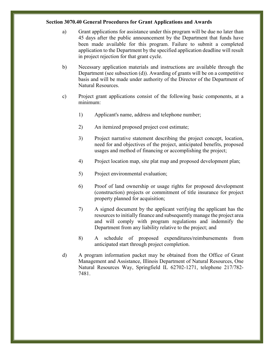#### **Section 3070.40 General Procedures for Grant Applications and Awards**

- a) Grant applications for assistance under this program will be due no later than 45 days after the public announcement by the Department that funds have been made available for this program. Failure to submit a completed application to the Department by the specified application deadline will result in project rejection for that grant cycle.
- b) Necessary application materials and instructions are available through the Department (see subsection (d)). Awarding of grants will be on a competitive basis and will be made under authority of the Director of the Department of Natural Resources.
- c) Project grant applications consist of the following basic components, at a minimum:
	- 1) Applicant's name, address and telephone number;
	- 2) An itemized proposed project cost estimate;
	- 3) Project narrative statement describing the project concept, location, need for and objectives of the project, anticipated benefits, proposed usages and method of financing or accomplishing the project;
	- 4) Project location map, site plat map and proposed development plan;
	- 5) Project environmental evaluation;
	- 6) Proof of land ownership or usage rights for proposed development (construction) projects or commitment of title insurance for project property planned for acquisition;
	- 7) A signed document by the applicant verifying the applicant has the resources to initially finance and subsequently manage the project area and will comply with program regulations and indemnify the Department from any liability relative to the project; and
	- 8) A schedule of proposed expenditures/reimbursements from anticipated start through project completion.
- d) A program information packet may be obtained from the Office of Grant Management and Assistance, Illinois Department of Natural Resources, One Natural Resources Way, Springfield IL 62702-1271, telephone 217/782- 7481.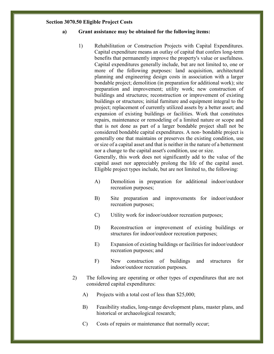#### **Section 3070.50 Eligible Project Costs**

#### **a) Grant assistance may be obtained for the following items:**

1) Rehabilitation or Construction Projects with Capital Expenditures. Capital expenditure means an outlay of capital that confers long-term benefits that permanently improve the property's value or usefulness. Capital expenditures generally include, but are not limited to, one or more of the following purposes: land acquisition, architectural planning and engineering design costs in association with a larger bondable project; demolition (in preparation for additional work); site preparation and improvement; utility work; new construction of buildings and structures; reconstruction or improvement of existing buildings or structures; initial furniture and equipment integral to the project; replacement of currently utilized assets by a better asset; and expansion of existing buildings or facilities. Work that constitutes repairs, maintenance or remodeling of a limited nature or scope and that is not done as part of a larger bondable project shall not be considered bondable capital expenditures. A non- bondable project is generally one that maintains or preserves the existing condition, use or size of a capital asset and that is neither in the nature of a betterment nor a change to the capital asset's condition, use or size.

Generally, this work does not significantly add to the value of the capital asset nor appreciably prolong the life of the capital asset. Eligible project types include, but are not limited to, the following:

- A) Demolition in preparation for additional indoor/outdoor recreation purposes;
- B) Site preparation and improvements for indoor/outdoor recreation purposes;
- C) Utility work for indoor/outdoor recreation purposes;
- D) Reconstruction or improvement of existing buildings or structures for indoor/outdoor recreation purposes;
- E) Expansion of existing buildings or facilities for indoor/outdoor recreation purposes; and
- F) New construction of buildings and structures for indoor/outdoor recreation purposes.
- 2) The following are operating or other types of expenditures that are not considered capital expenditures:
	- A) Projects with a total cost of less than \$25,000;
	- B) Feasibility studies, long-range development plans, master plans, and historical or archaeological research;
	- C) Costs of repairs or maintenance that normally occur;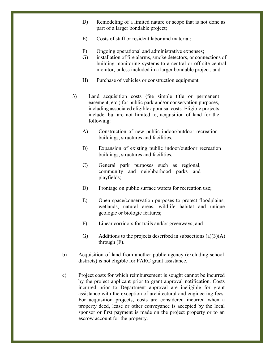- D) Remodeling of a limited nature or scope that is not done as part of a larger bondable project;
- E) Costs of staff or resident labor and material;
- F) Ongoing operational and administrative expenses;
- G) installation of fire alarms, smoke detectors, or connections of building monitoring systems to a central or off-site central monitor, unless included in a larger bondable project; and
- H) Purchase of vehicles or construction equipment.
- 3) Land acquisition costs (fee simple title or permanent easement, etc.) for public park and/or conservation purposes, including associated eligible appraisal costs. Eligible projects include, but are not limited to, acquisition of land for the following:
	- A) Construction of new public indoor/outdoor recreation buildings, structures and facilities;
	- B) Expansion of existing public indoor/outdoor recreation buildings, structures and facilities;
	- C) General park purposes such as regional, community and neighborhood parks and playfields;
	- D) Frontage on public surface waters for recreation use;
	- E) Open space/conservation purposes to protect floodplains, wetlands, natural areas, wildlife habitat and unique geologic or biologic features;
	- F) Linear corridors for trails and/or greenways; and
	- G) Additions to the projects described in subsections  $(a)(3)(A)$ through (F).
- b) Acquisition of land from another public agency (excluding school districts) is not eligible for PARC grant assistance.
- c) Project costs for which reimbursement is sought cannot be incurred by the project applicant prior to grant approval notification. Costs incurred prior to Department approval are ineligible for grant assistance with the exception of architectural and engineering fees. For acquisition projects, costs are considered incurred when a property deed, lease or other conveyance is accepted by the local sponsor or first payment is made on the project property or to an escrow account for the property.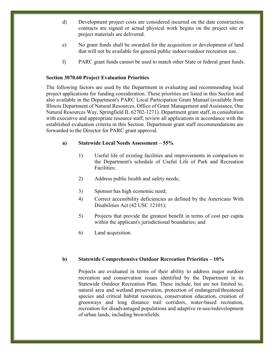- d) Development project costs are considered incurred on the date construction contracts are signed or actual physical work begins on the project site or project materials are delivered.
- e) No grant funds shall be awarded for the acquisition or development of land that will not be available for general public indoor/outdoor recreation use.
- f) PARC grant funds cannot be used to match other State or federal grant funds.

#### **Section 3070.60 Project Evaluation Priorities**

The following factors are used by the Department in evaluating and recommending local project applications for funding consideration. These priorities are listed in this Section and also available in the Department's PARC Local Participation Grant Manual (available from Illinois Department of Natural Resources, Office of Grant Management and Assistance, One Natural Resources Way, Springfield IL 62702-1271). Department grant staff, in consultation with executive and appropriate resource staff, review all applications in accordance with the established evaluation criteria in this Section. Department grant staff recommendations are forwarded to the Director for PARC grant approval.

#### **a) Statewide Local Needs Assessment – 55%**

- 1) Useful life of existing facilities and improvements in comparison to the Department's schedule of Useful Life of Park and Recreation Facilities;
- 2) Address public health and safety needs;
- 3) Sponsor has high economic need;
- 4) Correct accessibility deficiencies as defined by the Americans With Disabilities Act (42 USC 12101);
- 5) Projects that provide the greatest benefit in terms of cost per capita within the applicant's jurisdictional boundaries; and
- 6) Land acquisition.

#### **b) Statewide Comprehensive Outdoor Recreation Priorities – 10%**

Projects are evaluated in terms of their ability to address major outdoor recreation and conservation issues identified by the Department in its Statewide Outdoor Recreation Plan. These include, but are not limited to, natural area and wetland preservation, protection of endangered/threatened species and critical habitat resources, conservation education, creation of greenways and long distance trail corridors, water-based recreation, recreation for disadvantaged populations and adaptive re-use/redevelopment of urban lands, including brownfields.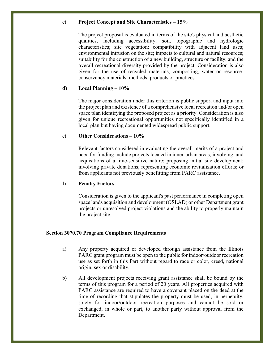#### **c) Project Concept and Site Characteristics – 15%**

The project proposal is evaluated in terms of the site's physical and aesthetic qualities, including accessibility; soil, topographic and hydrologic characteristics; site vegetation; compatibility with adjacent land uses; environmental intrusion on the site; impacts to cultural and natural resources; suitability for the construction of a new building, structure or facility; and the overall recreational diversity provided by the project. Consideration is also given for the use of recycled materials, composting, water or resourceconservancy materials, methods, products or practices.

### **d) Local Planning – 10%**

The major consideration under this criterion is public support and input into the project plan and existence of a comprehensive local recreation and/or open space plan identifying the proposed project as a priority. Consideration is also given for unique recreational opportunities not specifically identified in a local plan but having documented widespread public support.

#### **e) Other Considerations – 10%**

Relevant factors considered in evaluating the overall merits of a project and need for funding include projects located in inner-urban areas; involving land acquisitions of a time-sensitive nature; proposing initial site development; involving private donations; representing economic revitalization efforts; or from applicants not previously benefitting from PARC assistance.

#### **f) Penalty Factors**

Consideration is given to the applicant's past performance in completing open space lands acquisition and development (OSLAD) or other Department grant projects or unresolved project violations and the ability to properly maintain the project site.

#### **Section 3070.70 Program Compliance Requirements**

- a) Any property acquired or developed through assistance from the Illinois PARC grant program must be open to the public for indoor/outdoor recreation use as set forth in this Part without regard to race or color, creed, national origin, sex or disability.
- b) All development projects receiving grant assistance shall be bound by the terms of this program for a period of 20 years. All properties acquired with PARC assistance are required to have a covenant placed on the deed at the time of recording that stipulates the property must be used, in perpetuity, solely for indoor/outdoor recreation purposes and cannot be sold or exchanged, in whole or part, to another party without approval from the Department.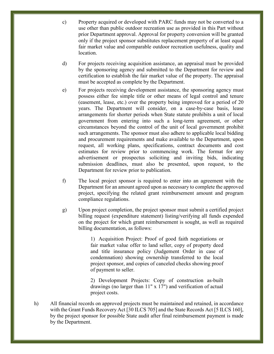- c) Property acquired or developed with PARC funds may not be converted to a use other than public outdoor recreation use as provided in this Part without prior Department approval. Approval for property conversion will be granted only if the project sponsor substitutes replacement property of at least equal fair market value and comparable outdoor recreation usefulness, quality and **location**
- d) For projects receiving acquisition assistance, an appraisal must be provided by the sponsoring agency and submitted to the Department for review and certification to establish the fair market value of the property. The appraisal must be accepted as complete by the Department.
- e) For projects receiving development assistance, the sponsoring agency must possess either fee simple title or other means of legal control and tenure (easement, lease, etc.) over the property being improved for a period of 20 years. The Department will consider, on a case-by-case basis, lease arrangements for shorter periods when State statute prohibits a unit of local government from entering into such a long-term agreement, or other circumstances beyond the control of the unit of local government prohibit such arrangements. The sponsor must also adhere to applicable local bidding and procurement requirements and make available to the Department, upon request, all working plans, specifications, contract documents and cost estimates for review prior to commencing work. The format for any advertisement or prospectus soliciting and inviting bids, indicating submission deadlines, must also be presented, upon request, to the Department for review prior to publication.
- f) The local project sponsor is required to enter into an agreement with the Department for an amount agreed upon as necessary to complete the approved project, specifying the related grant reimbursement amount and program compliance regulations.
- g) Upon project completion, the project sponsor must submit a certified project billing request (expenditure statement) listing/verifying all funds expended on the project for which grant reimbursement is sought, as well as required billing documentation, as follows:

1) Acquisition Project: Proof of good faith negotiations or fair market value offer to land seller, copy of property deed and title insurance policy (Judgement Order in case of condemnation) showing ownership transferred to the local project sponsor, and copies of canceled checks showing proof of payment to seller.

2) Development Projects: Copy of construction as-built drawings (no larger than 11" x 17") and verification of actual project costs.

h) All financial records on approved projects must be maintained and retained, in accordance with the Grant Funds Recovery Act [30 ILCS 705] and the State Records Act [5 ILCS 160], by the project sponsor for possible State audit after final reimbursement payment is made by the Department.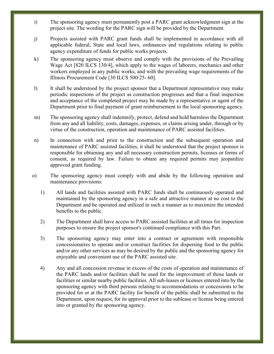- i) The sponsoring agency must permanently post a PARC grant acknowledgment sign at the project site. The wording for the PARC sign will be provided by the Department.
- j) Projects assisted with PARC grant funds shall be implemented in accordance with all applicable federal, State and local laws, ordinances and regulations relating to public agency expenditure of funds for public works projects.
- k) The sponsoring agency must observe and comply with the provisions of the Prevailing Wage Act [820 ILCS 130/4], which apply to the wages of laborers, mechanics and other workers employed in any public works, and with the prevailing wage requirements of the Illinois Procurement Code [30 ILCS 500/25- 60].
- l) It shall be understood by the project sponsor that a Department representative may make periodic inspections of the project as construction progresses and that a final inspection and acceptance of the completed project may be made by a representative or agent of the Department prior to final payment of grant reimbursement to the local sponsoring agency.
- m) The sponsoring agency shall indemnify, protect, defend and hold harmless the Department from any and all liability, costs, damages, expenses, or claims arising under, through or by virtue of the construction, operation and maintenance of PARC assisted facilities.
- n) In connection with and prior to the construction and the subsequent operation and maintenance of PARC assisted facilities, it shall be understood that the project sponsor is responsible for obtaining any and all necessary construction permits, licenses or forms of consent, as required by law. Failure to obtain any required permits may jeopardize approved grant funding.
- o) The sponsoring agency must comply with and abide by the following operation and maintenance provisions:
	- 1) All lands and facilities assisted with PARC funds shall be continuously operated and maintained by the sponsoring agency in a safe and attractive manner at no cost to the Department and be operated and utilized in such a manner as to maximize the intended benefits to the public.
	- 2) The Department shall have access to PARC assisted facilities at all times for inspection purposes to ensure the project sponsor's continued compliance with this Part.
	- 3) The sponsoring agency may enter into a contract or agreement with responsible concessionaires to operate and/or construct facilities for dispersing food to the public and/or any other services as may be desired by the public and the sponsoring agency for enjoyable and convenient use of the PARC assisted site.
	- 4) Any and all concession revenue in excess of the costs of operation and maintenance of the PARC lands and/or facilities shall be used for the improvement of those lands or facilities or similar nearby public facilities. All sub-leases or licenses entered into by the sponsoring agency with third persons relating to accommodations or concessions to be provided for or at the PARC facility for benefit of the public shall be submitted to the Department, upon request, for its approval prior to the sublease or license being entered into or granted by the sponsoring agency.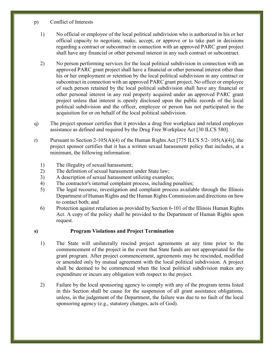- p) Conflict of Interests
	- 1) No official or employee of the local political subdivision who is authorized in his or her official capacity to negotiate, make, accept, or approve or to take part in decisions regarding a contract or subcontract in connection with an approved PARC grant project shall have any financial or other personal interest in any such contract or subcontract.
	- 2) No person performing services for the local political subdivision in connection with an approved PARC grant project shall have a financial or other personal interest other than his or her employment or retention by the local political subdivision in any contract or subcontract in connection with an approved PARC grant project. No officer or employee of such person retained by the local political subdivision shall have any financial or other personal interest in any real property acquired under an approved PARC grant project unless that interest is openly disclosed upon the public records of the local political subdivision and the officer, employee or person has not participated in the acquisition for or on behalf of the local political subdivision.
- q) The project sponsor certifies that it provides a drug free workplace and related employee assistance as defined and required by the Drug Free Workplace Act [30 ILCS 580].
- r) Pursuant to Section 2-105(A)(4) of the Human Rights Act [775 ILCS 5/2- 105(A)(4)], the project sponsor certifies that it has a written sexual harassment policy that includes, at a minimum, the following information:
	- 1) The illegality of sexual harassment;
	- 2) The definition of sexual harassment under State law;
	- 3) A description of sexual harassment utilizing examples;
	- 4) The contractor's internal complaint process, including penalties;
	- 5) The legal recourse, investigation and complaint process available through the Illinois Department of Human Rights and the Human Rights Commission and directions on how to contact both; and
	- 6) Protection against retaliation as provided by Section 6-101 of the Illinois Human Rights Act. A copy of the policy shall be provided to the Department of Human Rights upon request.

# **s) Program Violations and Project Termination**

- 1) The State will unilaterally rescind project agreements at any time prior to the commencement of the project in the event that State funds are not appropriated for the grant program. After project commencement, agreements may be rescinded, modified or amended only by mutual agreement with the local political subdivision. A project shall be deemed to be commenced when the local political subdivision makes any expenditure or incurs any obligation with respect to the project.
- 2) Failure by the local sponsoring agency to comply with any of the program terms listed in this Section shall be cause for the suspension of all grant assistance obligations, unless, in the judgement of the Department, the failure was due to no fault of the local sponsoring agency (e.g., statutory changes, acts of God).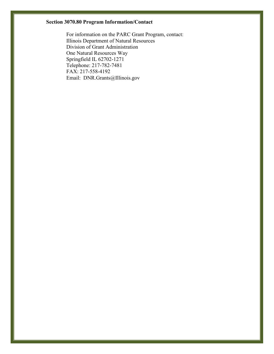# **Section 3070.80 Program Information/Contact**

For information on the PARC Grant Program, contact: Illinois Department of Natural Resources Division of Grant Administration One Natural Resources Way Springfield IL 62702-1271 Telephone: 217-782-7481 FAX: 217-558-4192 Email: DNR.Grants@Illinois.gov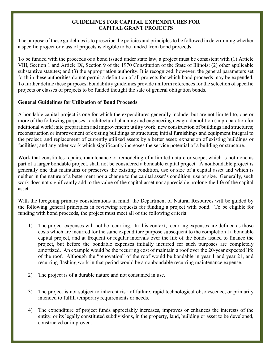#### **GUIDELINES FOR CAPITAL EXPENDITURES FOR CAPITAL GRANT PROJECTS**

The purpose of these guidelines is to prescribe the policies and principles to be followed in determining whether a specific project or class of projects is eligible to be funded from bond proceeds.

To be funded with the proceeds of a bond issued under state law, a project must be consistent with (1) Article VIII, Section 1 and Article IX, Section 9 of the 1970 Constitution of the State of Illinois; (2) other applicable substantive statutes; and (3) the appropriation authority. It is recognized, however, the general parameters set forth in these authorities do not permit a definition of all projects for which bond proceeds may be expended. To further define these purposes, bondability guidelines provide uniform references for the selection of specific projects or classes of projects to be funded thought the sale of general obligation bonds.

# **General Guidelines for Utilization of Bond Proceeds**

A bondable capital project is one for which the expenditures generally include, but are not limited to, one or more of the following purposes: architectural planning and engineering design; demolition (in preparation for additional work); site preparation and improvement; utility work; new construction of buildings and structures; reconstruction or improvement of existing buildings or structures; initial furnishings and equipment integral to the project; and replacement of currently utilized assets by a better asset; expansion of existing buildings or facilities; and any other work which significantly increases the service potential of a building or structure.

Work that constitutes repairs, maintenance or remodeling of a limited nature or scope, which is not done as part of a larger bondable project, shall not be considered a bondable capital project. A nonbondable project is generally one that maintains or preserves the existing condition, use or size of a capital asset and which is neither in the nature of a betterment nor a change to the capital asset's condition, use or size. Generally, such work does not significantly add to the value of the capital asset nor appreciable prolong the life of the capital asset.

With the foregoing primary considerations in mind, the Department of Natural Resources will be guided by the following general principles in reviewing requests for funding a project with bond. To be eligible for funding with bond proceeds, the project must meet all of the following criteria:

- 1) The project expenses will not be recurring. In this context, recurring expenses are defined as those costs which are incurred for the same expenditure purpose subsequent to the completion f a bondable capital project, and at frequent or regular intervals over the life of the bonds issued to finance the project, but before the bondable expenses initially incurred for such purposes are completely amortized. An example would be the recurring cost of maintain a roof over the 20-year expected life of the roof. Although the "renovation" of the roof would be bondable in year 1 and year 21, and recurring flashing work in that period would be a nonbondable recurring maintenance expense.
- 2) The project is of a durable nature and not consumed in use.
- 3) The project is not subject to inherent risk of failure, rapid technological obsolescence, or primarily intended to fulfill temporary requirements or needs.
- 4) The expenditure of project funds appreciably increases, improves or enhances the interests of the entity, or its legally constituted subdivisions, in the property, land, building or asset to be developed, constructed or improved.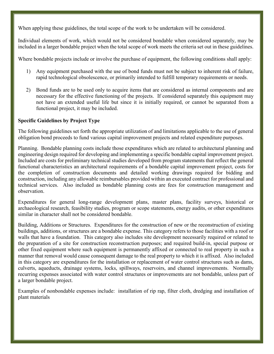When applying these guidelines, the total scope of the work to be undertaken will be considered.

Individual elements of work, which would not be considered bondable when considered separately, may be included in a larger bondable project when the total scope of work meets the criteria set out in these guidelines.

Where bondable projects include or involve the purchase of equipment, the following conditions shall apply:

- 1) Any equipment purchased with the use of bond funds must not be subject to inherent risk of failure, rapid technological obsolescence, or primarily intended to fulfill temporary requirements or needs.
- 2) Bond funds are to be used only to acquire items that are considered as internal components and are necessary for the effective functioning of the projects. If considered separately this equipment may not have an extended useful life but since it is initially required, or cannot be separated from a functional project, it may be included.

# **Specific Guidelines by Project Type**

The following guidelines set forth the appropriate utilization of and limitations applicable to the use of general obligation bond proceeds to fund various capital improvement projects and related expenditure purposes.

Planning. Bondable planning costs include those expenditures which are related to architectural planning and engineering design required for developing and implementing a specific bondable capital improvement project. Included are costs for preliminary technical studies developed from program statements that reflect the general functional characteristics an architectural requirements of a bondable capital improvement project, costs for the completion of construction documents and detailed working drawings required for bidding and construction, including any allowable reimbursables provided within an executed contract for professional and technical services. Also included as bondable planning costs are fees for construction management and observation.

Expenditures for general long-range development plans, master plans, facility surveys, historical or archaeological research, feasibility studies, program or scope statements, energy audits, or other expenditures similar in character shall not be considered bondable.

Building, Additions or Structures. Expenditures for the construction of new or the reconstruction of existing buildings, additions, or structures are a bondable expense. This category refers to those facilities with a roof or walls that have a foundation. This category also includes site development necessarily required or related to the preparation of a site for construction reconstruction purposes; and required build-in, special purpose or other fixed equipment where such equipment is permanently affixed or connected to real property in such a manner that removal would cause consequent damage to the real property to which it is affixed. Also included in this category are expenditures for the installation or replacement of water control structures such as dams, culverts, aqueducts, drainage systems, locks, spillways, reservoirs, and channel improvements. Normally recurring expenses associated with water control structures or improvements are not bondable, unless part of a larger bondable project.

Examples of nonbondable expenses include: installation of rip rap, filter cloth, dredging and installation of plant materials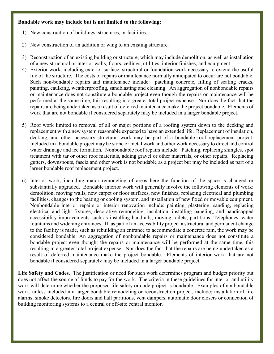#### **Bondable work may include but is not limited to the following:**

- 1) New construction of buildings, structures, or facilities.
- 2) New construction of an addition or wing to an existing structure.
- 3) Reconstruction of an existing building or structure, which may include demolition, as well as installation of a new structural or interior walls, floors, ceilings, utilities, interior finishes, and equipment.
- 4) Exterior work, including exterior surface, structural or foundation work necessary to extend the useful life of the structure. The costs of repairs or maintenance normally anticipated to occur are not bondable. Such non-bondable repairs and maintenance include: patching concrete, filling of sealing cracks, painting, caulking, weatherproofing, sandblasting and cleaning. An aggregation of nonbondable repairs or maintenance does not constitute a bondable project even though the repairs or maintenance will be performed at the same time, this resulting in a greater total project expense. Nor does the fact that the repairs are being undertaken as a result of deferred maintenance make the project bondable. Elements of work that are not bondable if considered separately may be included in a larger bondable project.
- 5) Roof work limited to removal of all or major portions of a roofing system down to the decking and replacement with a new system reasonable expected to have an extended life. Replacement of insulation, decking, and other necessary structural work may be part of a bondable roof replacement project. Included in a bondable project may be stone or metal work and other work necessary to direct and control water drainage and ice formation. Nonbondable roof repairs include: Patching, replacing shingles, spot treatment with tar or other roof materials, adding gravel or other materials, or other repairs. Replacing gutters, downspouts, fascia and other work is not bondable as a project but may be included as part of a larger bondable roof replacement project.
- 6) Interior work, including major remodeling of areas here the function of the space is changed or substantially upgraded. Bondable interior work will generally involve the following elements of work: demolition, moving walls, new carpet or floor surfaces, new finishes, replacing electrical and plumbing facilities, changes to the heating or cooling system, and installation of new fixed or movable equipment. Nonbondable interior repairs or interior renovation include: painting, plastering, sanding, replacing electrical and light fixtures, decorative remodeling, insulation, installing paneling, and handicapped accessibility improvements such as installing handrails, moving toilets, partitions. Telephones, water fountains and widening entrances. If, as part of an accessibility project a structural and permanent change to the facility is made, such as rebuilding an entrance to accommodate a concrete ram, the work may be considered bondable. An aggregation of nonbondable repairs or maintenance does not constitute a bondable project even thought the repairs or maintenance will be performed at the same time, this resulting in a greater total project expense. Nor does the fact that the repairs are being undertaken as a result of deferred maintenance make the project bondable. Elements of interior work that are not bondable if considered separately may be included in a larger bondable project.

**Life Safety and Codes**. The justification or need for such work determines program and budget priority but does not affect the source of funds to pay for the work. The criteria in these guidelines for interior and utility work will determine whether the proposed life safety or code project is bondable. Examples of nonbondable work, unless included n a larger bondable remodeling or reconstruction project, include: installation of fire alarms, smoke detectors, fire doors and hall partitions, vent dampers, automatic door closers or connection of building monitoring systems to a central or off-site central monitor.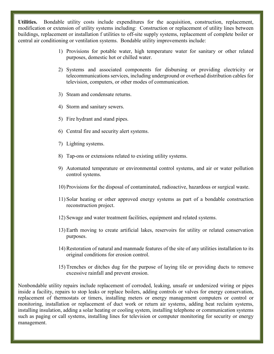**Utilities.** Bondable utility costs include expenditures for the acquisition, construction, replacement, modification or extension of utility systems including: Construction or replacement of utility lines between buildings, replacement or installation f utilities to off-site supply systems, replacement of complete boiler or central air conditioning or ventilation systems. Bondable utility improvements include:

- 1) Provisions for potable water, high temperature water for sanitary or other related purposes, domestic hot or chilled water.
- 2) Systems and associated components for disbursing or providing electricity or telecommunications services, including underground or overhead distribution cables for television, computers, or other modes of communication.
- 3) Steam and condensate returns.
- 4) Storm and sanitary sewers.
- 5) Fire hydrant and stand pipes.
- 6) Central fire and security alert systems.
- 7) Lighting systems.
- 8) Tap-ons or extensions related to existing utility systems.
- 9) Automated temperature or environmental control systems, and air or water pollution control systems.
- 10) Provisions for the disposal of contaminated, radioactive, hazardous or surgical waste.
- 11) Solar heating or other approved energy systems as part of a bondable construction reconstruction project.
- 12) Sewage and water treatment facilities, equipment and related systems.
- 13) Earth moving to create artificial lakes, reservoirs for utility or related conservation purposes.
- 14) Restoration of natural and manmade features of the site of any utilities installation to its original conditions for erosion control.
- 15) Trenches or ditches dug for the purpose of laying tile or providing ducts to remove excessive rainfall and prevent erosion.

Nonbondable utility repairs include replacement of corroded, leaking, unsafe or undersized wiring or pipes inside a facility, repairs to stop leaks or replace boilers, adding controls or valves for energy conservation, replacement of thermostats or timers, installing meters or energy management computers or control or monitoring, installation or replacement of duct work or return air systems, adding heat reclaim systems, installing insulation, adding a solar heating or cooling system, installing telephone or communication systems such as paging or call systems, installing lines for television or computer monitoring for security or energy management.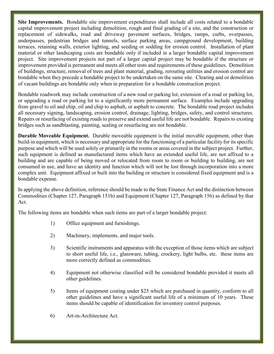**Site Improvements.** Bondable site improvement expenditures shall include all costs related to a bondable capital improvement project including demolition, rough and final grading of a site, and the construction or replacement of sidewalks, road and driveway pavement surfaces, bridges, ramps, curbs, overpasses, underpasses, pedestrian bridges and tunnels, surface parking areas, campground development, building terraces, retaining walls, exterior lighting, and seeding or sodding for erosion control. Installation of plant material or other landscaping costs are bondable only if included in a larger bondable capital improvement project. Site improvement projects not part of a larger capital project may be bondable if the structure or improvement provided is permanent and meets all other tests and requirements of these guidelines. Demolition of buildings, structure, removal of trees and plant material, grading, rerouting utilities and erosion control are bondable when they precede a bondable project to be undertaken on the same site. Clearing and or demolition of vacant buildings are bondable only when in preparation for a bondable construction project.

Bondable roadwork may include construction of a new road or parking lot, extension of a road or parking lot, or upgrading a road or parking lot to a significantly more permanent surface. Examples include upgrading from gravel to oil and chip, oil and chip to asphalt, or asphalt to concrete. The bondable road project includes all necessary signing, landscaping, erosion control, drainage, lighting, bridges, safety, and control structures. Repairs or resurfacing of existing roads to preserve and extend useful life are not bondable. Repairs to existing bridges such as sandblasting, painting, sealing or resurfacing are not bondable.

**Durable Moveable Equipment.** Durable moveable equipment is the initial movable equipment, other than build-in equipment, which is necessary and appropriate for the functioning of a particular facility for its specific purpose and which will be used solely or primarily in the rooms or areas covered in the subject project. Further, such equipment is defined as manufactured items which have an extended useful life, are not affixed to a building and are capable of being moved or relocated from room to room or building to building, are not consumed in use, and have an identity and function which will not be lost through incorporation into a more complex unit. Equipment affixed or built into the building or structure is considered fixed equipment and is a bondable expense.

In applying the above definition, reference should be made to the State Finance Act and the distinction between Commodities (Chapter 127, Paragraph 151b) and Equipment (Chapter 127, Paragraph 156) as defined by that Act.

The following items are bondable when such items are part of a larger bondable project:

- 1) Office equipment and furnishings.
- 2) Machinery, implements, and major tools.
- 3) Scientific instruments and apparatus with the exception of those items which are subject to short useful life, i.e., glassware, tubing, crockery, light bulbs, etc. these items are more correctly defined as commodities.
- 4) Equipment not otherwise classified will be considered bondable provided it meets all other guidelines.
- 5) Items of equipment costing under \$25 which are purchased in quantity, conform to all other guidelines and have a significant useful life of a minimum of 10 years. These items should be capable of identification for inventory control purposes.
- 6) Art-in-Architecture Act.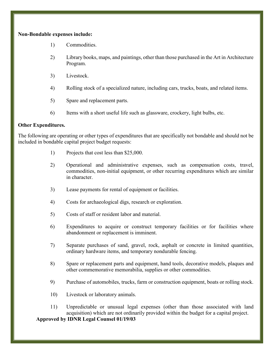#### **Non-Bondable expenses include:**

- 1) Commodities.
- 2) Library books, maps, and paintings, other than those purchased in the Art in Architecture Program.
- 3) Livestock.
- 4) Rolling stock of a specialized nature, including cars, trucks, boats, and related items.
- 5) Spare and replacement parts.
- 6) Items with a short useful life such as glassware, crockery, light bulbs, etc.

# **Other Expenditures.**

The following are operating or other types of expenditures that are specifically not bondable and should not be included in bondable capital project budget requests:

- 1) Projects that cost less than \$25,000.
- 2) Operational and administrative expenses, such as compensation costs, travel, commodities, non-initial equipment, or other recurring expenditures which are similar in character.
- 3) Lease payments for rental of equipment or facilities.
- 4) Costs for archaeological digs, research or exploration.
- 5) Costs of staff or resident labor and material.
- 6) Expenditures to acquire or construct temporary facilities or for facilities where abandonment or replacement is imminent.
- 7) Separate purchases of sand, gravel, rock, asphalt or concrete in limited quantities, ordinary hardware items, and temporary nondurable fencing.
- 8) Spare or replacement parts and equipment, hand tools, decorative models, plaques and other commemorative memorabilia, supplies or other commodities.
- 9) Purchase of automobiles, trucks, farm or construction equipment, boats or rolling stock.
- 10) Livestock or laboratory animals.
- 11) Unpredictable or unusual legal expenses (other than those associated with land acquisition) which are not ordinarily provided within the budget for a capital project.

**Approved by IDNR Legal Counsel 01/19/03**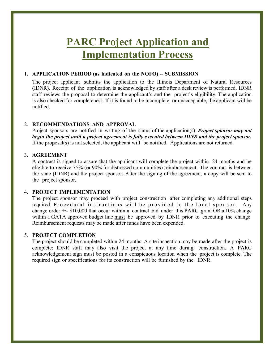# **PARC Project Application and Implementation Process**

#### 1. **APPLICATION PERIOD (as indicated on the NOFO) – SUBMISSION**

The project applicant submits the application to the Illinois Department of Natural Resources (IDNR). Receipt of the application is acknowledged by staff after a desk review is performed. IDNR staff reviews the proposal to determine the applicant's and the project's eligibility. The application is also checked for completeness. If it is found to be incomplete or unacceptable, the applicant will be notified.

#### 2. **RECOMMENDATIONS AND APPROVAL**

Project sponsors are notified in writing of the status of the application(s). *Project sponsor may not begin the project until a project agreement is fully executed between IDNR and the project sponsor.* If the proposal(s) is not selected, the applicant will be notified. Applications are not returned.

#### 3. **AGREEMENT**

A contract is signed to assure that the applicant will complete the project within 24 months and be eligible to receive 75% (or 90% for distressed communities) reimbursement. The contract is between the state (IDNR) and the project sponsor. After the signing of the agreement, a copy will be sent to the project sponsor.

#### 4. **PROJECT IMPLEMENTATION**

The project sponsor may proceed with project construction after completing any additional steps required. Procedural instructions will be provided to the local sponsor. Any change order  $+/-$  \$10,000 that occur within a contract bid under this PARC grant OR a 10% change within a GATA approved budget line must be approved by IDNR prior to executing the change. Reimbursement requests may be made after funds have been expended.

#### 5. **PROJECT COMPLETION**

The project should be completed within 24 months. A site inspection may be made after the project is complete; IDNR staff may also visit the project at any time during construction. A PARC acknowledgement sign must be posted in a conspicuous location when the project is complete. The required sign or specifications for its construction will be furnished by the IDNR.